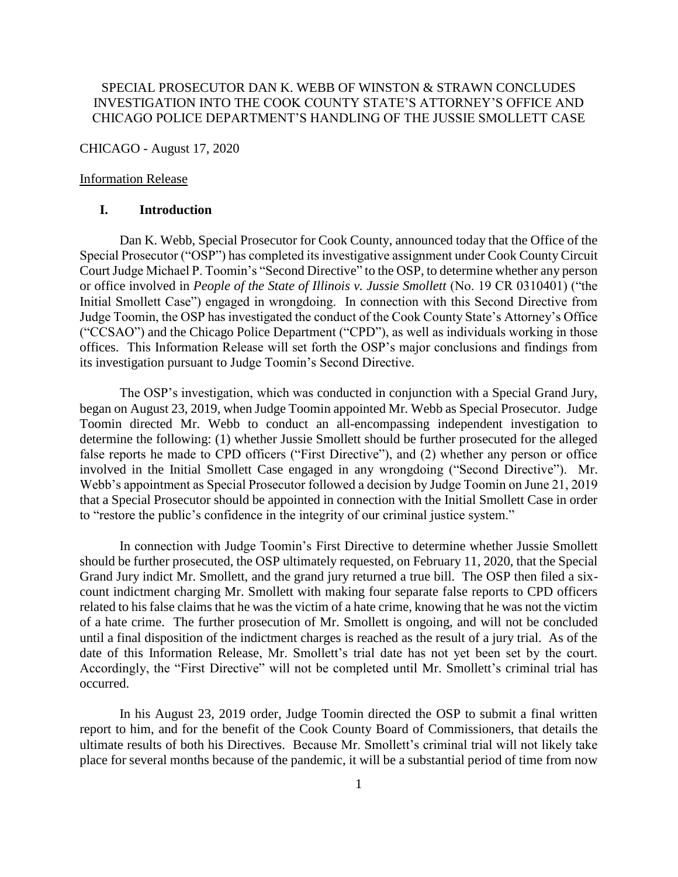## SPECIAL PROSECUTOR DAN K. WEBB OF WINSTON & STRAWN CONCLUDES INVESTIGATION INTO THE COOK COUNTY STATE'S ATTORNEY'S OFFICE AND CHICAGO POLICE DEPARTMENT'S HANDLING OF THE JUSSIE SMOLLETT CASE

CHICAGO - August 17, 2020

#### Information Release

#### **I. Introduction**

Dan K. Webb, Special Prosecutor for Cook County, announced today that the Office of the Special Prosecutor ("OSP") has completed its investigative assignment under Cook County Circuit Court Judge Michael P. Toomin's "Second Directive" to the OSP, to determine whether any person or office involved in *People of the State of Illinois v. Jussie Smollett* (No. 19 CR 0310401) ("the Initial Smollett Case") engaged in wrongdoing. In connection with this Second Directive from Judge Toomin, the OSP has investigated the conduct of the Cook County State's Attorney's Office ("CCSAO") and the Chicago Police Department ("CPD"), as well as individuals working in those offices. This Information Release will set forth the OSP's major conclusions and findings from its investigation pursuant to Judge Toomin's Second Directive.

The OSP's investigation, which was conducted in conjunction with a Special Grand Jury, began on August 23, 2019, when Judge Toomin appointed Mr. Webb as Special Prosecutor. Judge Toomin directed Mr. Webb to conduct an all-encompassing independent investigation to determine the following: (1) whether Jussie Smollett should be further prosecuted for the alleged false reports he made to CPD officers ("First Directive"), and (2) whether any person or office involved in the Initial Smollett Case engaged in any wrongdoing ("Second Directive"). Mr. Webb's appointment as Special Prosecutor followed a decision by Judge Toomin on June 21, 2019 that a Special Prosecutor should be appointed in connection with the Initial Smollett Case in order to "restore the public's confidence in the integrity of our criminal justice system."

In connection with Judge Toomin's First Directive to determine whether Jussie Smollett should be further prosecuted, the OSP ultimately requested, on February 11, 2020, that the Special Grand Jury indict Mr. Smollett, and the grand jury returned a true bill. The OSP then filed a sixcount indictment charging Mr. Smollett with making four separate false reports to CPD officers related to his false claims that he was the victim of a hate crime, knowing that he was not the victim of a hate crime. The further prosecution of Mr. Smollett is ongoing, and will not be concluded until a final disposition of the indictment charges is reached as the result of a jury trial. As of the date of this Information Release, Mr. Smollett's trial date has not yet been set by the court. Accordingly, the "First Directive" will not be completed until Mr. Smollett's criminal trial has occurred.

In his August 23, 2019 order, Judge Toomin directed the OSP to submit a final written report to him, and for the benefit of the Cook County Board of Commissioners, that details the ultimate results of both his Directives. Because Mr. Smollett's criminal trial will not likely take place for several months because of the pandemic, it will be a substantial period of time from now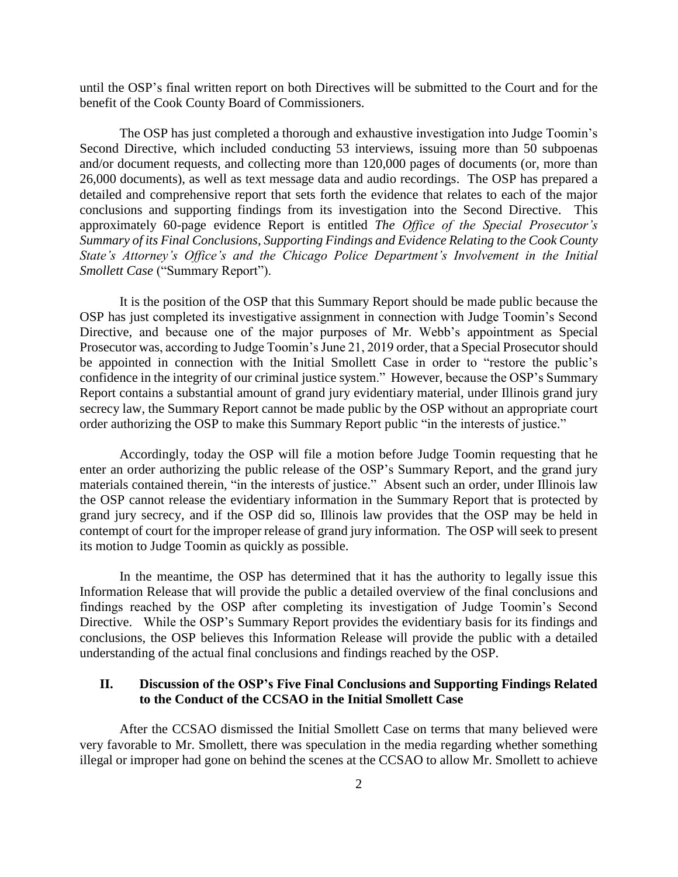until the OSP's final written report on both Directives will be submitted to the Court and for the benefit of the Cook County Board of Commissioners.

The OSP has just completed a thorough and exhaustive investigation into Judge Toomin's Second Directive, which included conducting 53 interviews, issuing more than 50 subpoenas and/or document requests, and collecting more than 120,000 pages of documents (or, more than 26,000 documents), as well as text message data and audio recordings. The OSP has prepared a detailed and comprehensive report that sets forth the evidence that relates to each of the major conclusions and supporting findings from its investigation into the Second Directive. This approximately 60-page evidence Report is entitled *The Office of the Special Prosecutor's Summary of its Final Conclusions, Supporting Findings and Evidence Relating to the Cook County State's Attorney's Office's and the Chicago Police Department's Involvement in the Initial Smollett Case* ("Summary Report").

It is the position of the OSP that this Summary Report should be made public because the OSP has just completed its investigative assignment in connection with Judge Toomin's Second Directive, and because one of the major purposes of Mr. Webb's appointment as Special Prosecutor was, according to Judge Toomin's June 21, 2019 order, that a Special Prosecutor should be appointed in connection with the Initial Smollett Case in order to "restore the public's confidence in the integrity of our criminal justice system." However, because the OSP's Summary Report contains a substantial amount of grand jury evidentiary material, under Illinois grand jury secrecy law, the Summary Report cannot be made public by the OSP without an appropriate court order authorizing the OSP to make this Summary Report public "in the interests of justice."

Accordingly, today the OSP will file a motion before Judge Toomin requesting that he enter an order authorizing the public release of the OSP's Summary Report, and the grand jury materials contained therein, "in the interests of justice." Absent such an order, under Illinois law the OSP cannot release the evidentiary information in the Summary Report that is protected by grand jury secrecy, and if the OSP did so, Illinois law provides that the OSP may be held in contempt of court for the improper release of grand jury information. The OSP will seek to present its motion to Judge Toomin as quickly as possible.

In the meantime, the OSP has determined that it has the authority to legally issue this Information Release that will provide the public a detailed overview of the final conclusions and findings reached by the OSP after completing its investigation of Judge Toomin's Second Directive. While the OSP's Summary Report provides the evidentiary basis for its findings and conclusions, the OSP believes this Information Release will provide the public with a detailed understanding of the actual final conclusions and findings reached by the OSP.

## **II. Discussion of the OSP's Five Final Conclusions and Supporting Findings Related to the Conduct of the CCSAO in the Initial Smollett Case**

After the CCSAO dismissed the Initial Smollett Case on terms that many believed were very favorable to Mr. Smollett, there was speculation in the media regarding whether something illegal or improper had gone on behind the scenes at the CCSAO to allow Mr. Smollett to achieve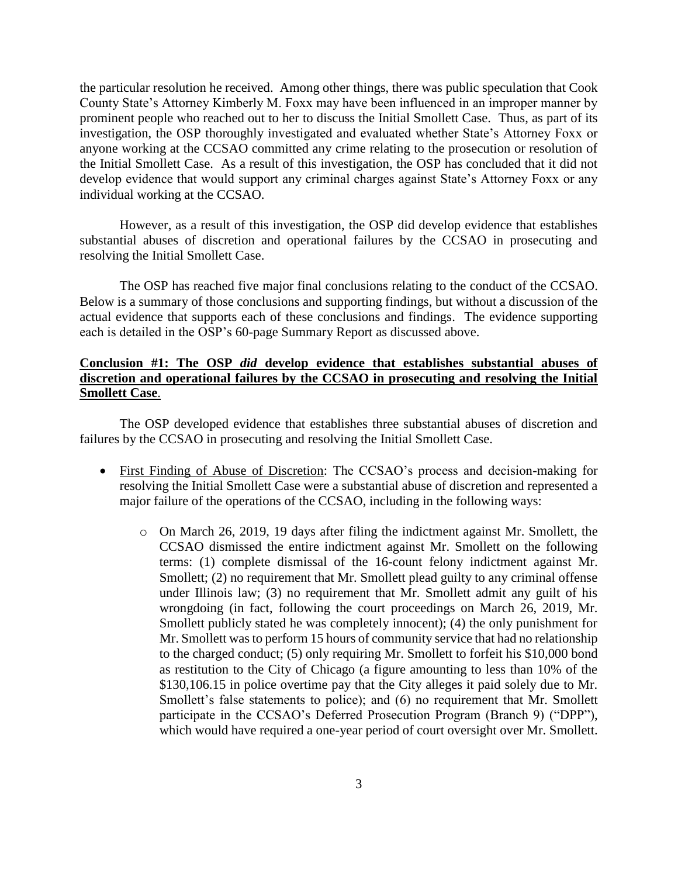the particular resolution he received. Among other things, there was public speculation that Cook County State's Attorney Kimberly M. Foxx may have been influenced in an improper manner by prominent people who reached out to her to discuss the Initial Smollett Case. Thus, as part of its investigation, the OSP thoroughly investigated and evaluated whether State's Attorney Foxx or anyone working at the CCSAO committed any crime relating to the prosecution or resolution of the Initial Smollett Case. As a result of this investigation, the OSP has concluded that it did not develop evidence that would support any criminal charges against State's Attorney Foxx or any individual working at the CCSAO.

However, as a result of this investigation, the OSP did develop evidence that establishes substantial abuses of discretion and operational failures by the CCSAO in prosecuting and resolving the Initial Smollett Case.

The OSP has reached five major final conclusions relating to the conduct of the CCSAO. Below is a summary of those conclusions and supporting findings, but without a discussion of the actual evidence that supports each of these conclusions and findings. The evidence supporting each is detailed in the OSP's 60-page Summary Report as discussed above.

## **Conclusion #1: The OSP** *did* **develop evidence that establishes substantial abuses of discretion and operational failures by the CCSAO in prosecuting and resolving the Initial Smollett Case**.

The OSP developed evidence that establishes three substantial abuses of discretion and failures by the CCSAO in prosecuting and resolving the Initial Smollett Case.

- First Finding of Abuse of Discretion: The CCSAO's process and decision-making for resolving the Initial Smollett Case were a substantial abuse of discretion and represented a major failure of the operations of the CCSAO, including in the following ways:
	- o On March 26, 2019, 19 days after filing the indictment against Mr. Smollett, the CCSAO dismissed the entire indictment against Mr. Smollett on the following terms: (1) complete dismissal of the 16-count felony indictment against Mr. Smollett; (2) no requirement that Mr. Smollett plead guilty to any criminal offense under Illinois law; (3) no requirement that Mr. Smollett admit any guilt of his wrongdoing (in fact, following the court proceedings on March 26, 2019, Mr. Smollett publicly stated he was completely innocent); (4) the only punishment for Mr. Smollett was to perform 15 hours of community service that had no relationship to the charged conduct; (5) only requiring Mr. Smollett to forfeit his \$10,000 bond as restitution to the City of Chicago (a figure amounting to less than 10% of the \$130,106.15 in police overtime pay that the City alleges it paid solely due to Mr. Smollett's false statements to police); and (6) no requirement that Mr. Smollett participate in the CCSAO's Deferred Prosecution Program (Branch 9) ("DPP"), which would have required a one-year period of court oversight over Mr. Smollett.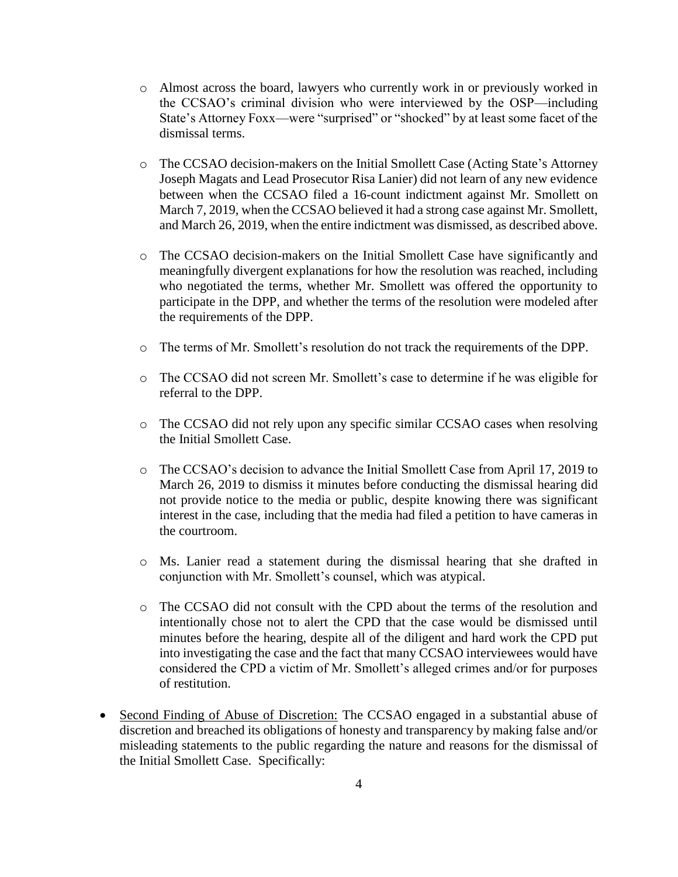- o Almost across the board, lawyers who currently work in or previously worked in the CCSAO's criminal division who were interviewed by the OSP—including State's Attorney Foxx—were "surprised" or "shocked" by at least some facet of the dismissal terms.
- o The CCSAO decision-makers on the Initial Smollett Case (Acting State's Attorney Joseph Magats and Lead Prosecutor Risa Lanier) did not learn of any new evidence between when the CCSAO filed a 16-count indictment against Mr. Smollett on March 7, 2019, when the CCSAO believed it had a strong case against Mr. Smollett, and March 26, 2019, when the entire indictment was dismissed, as described above.
- o The CCSAO decision-makers on the Initial Smollett Case have significantly and meaningfully divergent explanations for how the resolution was reached, including who negotiated the terms, whether Mr. Smollett was offered the opportunity to participate in the DPP, and whether the terms of the resolution were modeled after the requirements of the DPP.
- o The terms of Mr. Smollett's resolution do not track the requirements of the DPP.
- o The CCSAO did not screen Mr. Smollett's case to determine if he was eligible for referral to the DPP.
- o The CCSAO did not rely upon any specific similar CCSAO cases when resolving the Initial Smollett Case.
- o The CCSAO's decision to advance the Initial Smollett Case from April 17, 2019 to March 26, 2019 to dismiss it minutes before conducting the dismissal hearing did not provide notice to the media or public, despite knowing there was significant interest in the case, including that the media had filed a petition to have cameras in the courtroom.
- o Ms. Lanier read a statement during the dismissal hearing that she drafted in conjunction with Mr. Smollett's counsel, which was atypical.
- o The CCSAO did not consult with the CPD about the terms of the resolution and intentionally chose not to alert the CPD that the case would be dismissed until minutes before the hearing, despite all of the diligent and hard work the CPD put into investigating the case and the fact that many CCSAO interviewees would have considered the CPD a victim of Mr. Smollett's alleged crimes and/or for purposes of restitution.
- Second Finding of Abuse of Discretion: The CCSAO engaged in a substantial abuse of discretion and breached its obligations of honesty and transparency by making false and/or misleading statements to the public regarding the nature and reasons for the dismissal of the Initial Smollett Case. Specifically: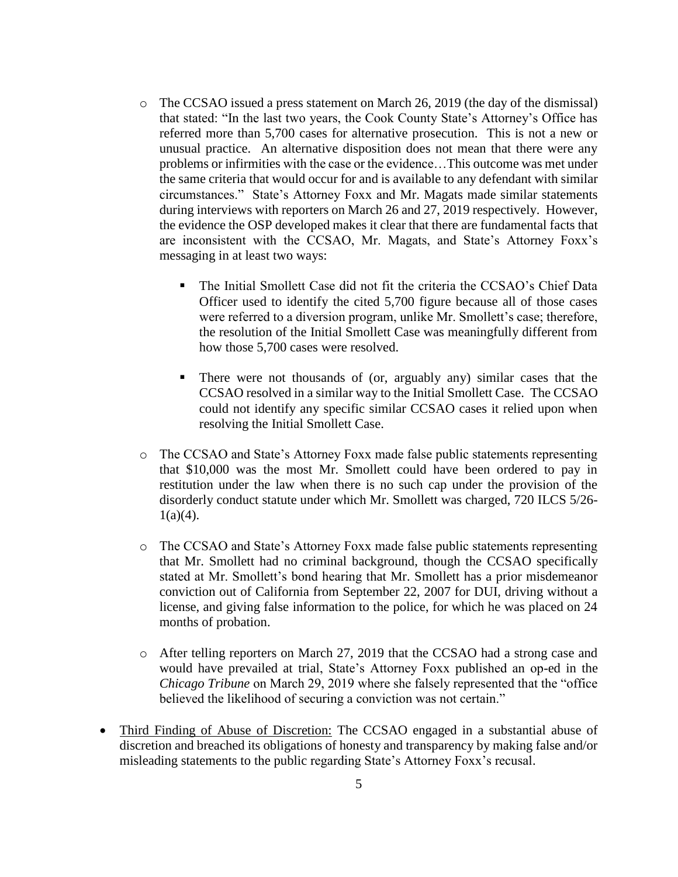- o The CCSAO issued a press statement on March 26, 2019 (the day of the dismissal) that stated: "In the last two years, the Cook County State's Attorney's Office has referred more than 5,700 cases for alternative prosecution. This is not a new or unusual practice. An alternative disposition does not mean that there were any problems or infirmities with the case or the evidence…This outcome was met under the same criteria that would occur for and is available to any defendant with similar circumstances." State's Attorney Foxx and Mr. Magats made similar statements during interviews with reporters on March 26 and 27, 2019 respectively. However, the evidence the OSP developed makes it clear that there are fundamental facts that are inconsistent with the CCSAO, Mr. Magats, and State's Attorney Foxx's messaging in at least two ways:
	- The Initial Smollett Case did not fit the criteria the CCSAO's Chief Data Officer used to identify the cited 5,700 figure because all of those cases were referred to a diversion program, unlike Mr. Smollett's case; therefore, the resolution of the Initial Smollett Case was meaningfully different from how those 5,700 cases were resolved.
	- There were not thousands of (or, arguably any) similar cases that the CCSAO resolved in a similar way to the Initial Smollett Case. The CCSAO could not identify any specific similar CCSAO cases it relied upon when resolving the Initial Smollett Case.
- o The CCSAO and State's Attorney Foxx made false public statements representing that \$10,000 was the most Mr. Smollett could have been ordered to pay in restitution under the law when there is no such cap under the provision of the disorderly conduct statute under which Mr. Smollett was charged, 720 ILCS 5/26-  $1(a)(4)$ .
- o The CCSAO and State's Attorney Foxx made false public statements representing that Mr. Smollett had no criminal background, though the CCSAO specifically stated at Mr. Smollett's bond hearing that Mr. Smollett has a prior misdemeanor conviction out of California from September 22, 2007 for DUI, driving without a license, and giving false information to the police, for which he was placed on 24 months of probation.
- o After telling reporters on March 27, 2019 that the CCSAO had a strong case and would have prevailed at trial, State's Attorney Foxx published an op-ed in the *Chicago Tribune* on March 29, 2019 where she falsely represented that the "office believed the likelihood of securing a conviction was not certain."
- Third Finding of Abuse of Discretion: The CCSAO engaged in a substantial abuse of discretion and breached its obligations of honesty and transparency by making false and/or misleading statements to the public regarding State's Attorney Foxx's recusal.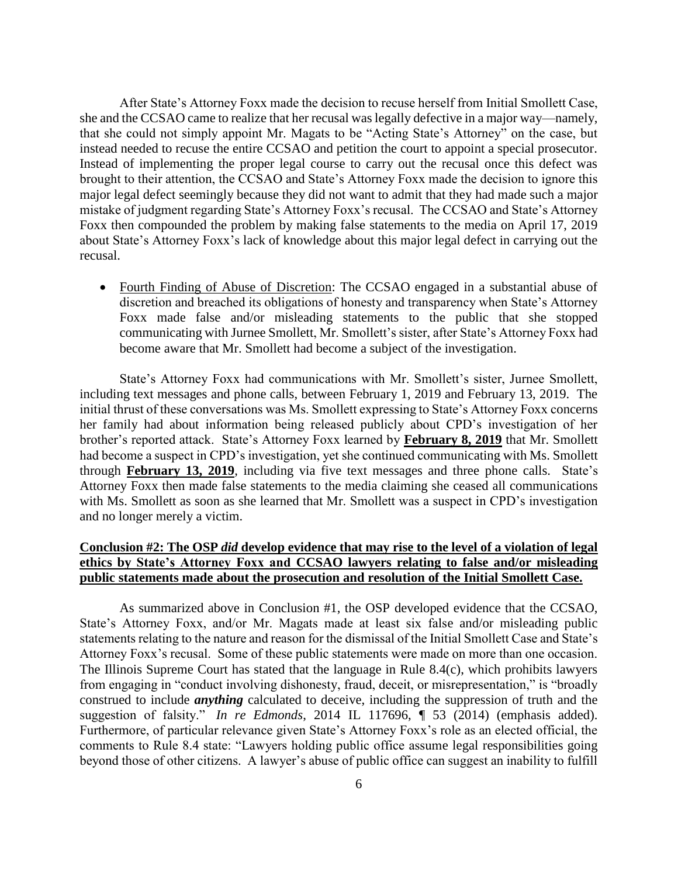After State's Attorney Foxx made the decision to recuse herself from Initial Smollett Case, she and the CCSAO came to realize that her recusal was legally defective in a major way—namely, that she could not simply appoint Mr. Magats to be "Acting State's Attorney" on the case, but instead needed to recuse the entire CCSAO and petition the court to appoint a special prosecutor. Instead of implementing the proper legal course to carry out the recusal once this defect was brought to their attention, the CCSAO and State's Attorney Foxx made the decision to ignore this major legal defect seemingly because they did not want to admit that they had made such a major mistake of judgment regarding State's Attorney Foxx's recusal. The CCSAO and State's Attorney Foxx then compounded the problem by making false statements to the media on April 17, 2019 about State's Attorney Foxx's lack of knowledge about this major legal defect in carrying out the recusal.

• Fourth Finding of Abuse of Discretion: The CCSAO engaged in a substantial abuse of discretion and breached its obligations of honesty and transparency when State's Attorney Foxx made false and/or misleading statements to the public that she stopped communicating with Jurnee Smollett, Mr. Smollett's sister, after State's Attorney Foxx had become aware that Mr. Smollett had become a subject of the investigation.

State's Attorney Foxx had communications with Mr. Smollett's sister, Jurnee Smollett, including text messages and phone calls, between February 1, 2019 and February 13, 2019. The initial thrust of these conversations was Ms. Smollett expressing to State's Attorney Foxx concerns her family had about information being released publicly about CPD's investigation of her brother's reported attack. State's Attorney Foxx learned by **February 8, 2019** that Mr. Smollett had become a suspect in CPD's investigation, yet she continued communicating with Ms. Smollett through **February 13, 2019**, including via five text messages and three phone calls. State's Attorney Foxx then made false statements to the media claiming she ceased all communications with Ms. Smollett as soon as she learned that Mr. Smollett was a suspect in CPD's investigation and no longer merely a victim.

## **Conclusion #2: The OSP** *did* **develop evidence that may rise to the level of a violation of legal ethics by State's Attorney Foxx and CCSAO lawyers relating to false and/or misleading public statements made about the prosecution and resolution of the Initial Smollett Case.**

As summarized above in Conclusion #1, the OSP developed evidence that the CCSAO, State's Attorney Foxx, and/or Mr. Magats made at least six false and/or misleading public statements relating to the nature and reason for the dismissal of the Initial Smollett Case and State's Attorney Foxx's recusal. Some of these public statements were made on more than one occasion. The Illinois Supreme Court has stated that the language in Rule 8.4(c), which prohibits lawyers from engaging in "conduct involving dishonesty, fraud, deceit, or misrepresentation," is "broadly construed to include *anything* calculated to deceive, including the suppression of truth and the suggestion of falsity." *In re Edmonds*, 2014 IL 117696, ¶ 53 (2014) (emphasis added). Furthermore, of particular relevance given State's Attorney Foxx's role as an elected official, the comments to Rule 8.4 state: "Lawyers holding public office assume legal responsibilities going beyond those of other citizens. A lawyer's abuse of public office can suggest an inability to fulfill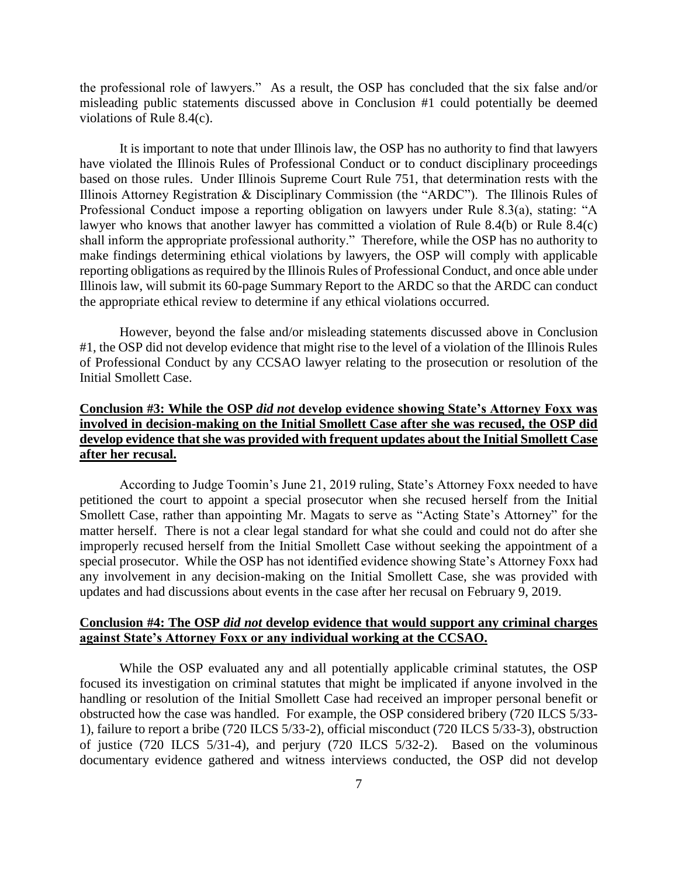the professional role of lawyers." As a result, the OSP has concluded that the six false and/or misleading public statements discussed above in Conclusion #1 could potentially be deemed violations of Rule 8.4(c).

It is important to note that under Illinois law, the OSP has no authority to find that lawyers have violated the Illinois Rules of Professional Conduct or to conduct disciplinary proceedings based on those rules. Under Illinois Supreme Court Rule 751, that determination rests with the Illinois Attorney Registration & Disciplinary Commission (the "ARDC"). The Illinois Rules of Professional Conduct impose a reporting obligation on lawyers under Rule 8.3(a), stating: "A lawyer who knows that another lawyer has committed a violation of Rule 8.4(b) or Rule 8.4(c) shall inform the appropriate professional authority." Therefore, while the OSP has no authority to make findings determining ethical violations by lawyers, the OSP will comply with applicable reporting obligations as required by the Illinois Rules of Professional Conduct, and once able under Illinois law, will submit its 60-page Summary Report to the ARDC so that the ARDC can conduct the appropriate ethical review to determine if any ethical violations occurred.

However, beyond the false and/or misleading statements discussed above in Conclusion #1, the OSP did not develop evidence that might rise to the level of a violation of the Illinois Rules of Professional Conduct by any CCSAO lawyer relating to the prosecution or resolution of the Initial Smollett Case.

# **Conclusion #3: While the OSP** *did not* **develop evidence showing State's Attorney Foxx was involved in decision-making on the Initial Smollett Case after she was recused, the OSP did develop evidence that she was provided with frequent updates about the Initial Smollett Case after her recusal.**

According to Judge Toomin's June 21, 2019 ruling, State's Attorney Foxx needed to have petitioned the court to appoint a special prosecutor when she recused herself from the Initial Smollett Case, rather than appointing Mr. Magats to serve as "Acting State's Attorney" for the matter herself. There is not a clear legal standard for what she could and could not do after she improperly recused herself from the Initial Smollett Case without seeking the appointment of a special prosecutor. While the OSP has not identified evidence showing State's Attorney Foxx had any involvement in any decision-making on the Initial Smollett Case, she was provided with updates and had discussions about events in the case after her recusal on February 9, 2019.

#### **Conclusion #4: The OSP** *did not* **develop evidence that would support any criminal charges against State's Attorney Foxx or any individual working at the CCSAO.**

While the OSP evaluated any and all potentially applicable criminal statutes, the OSP focused its investigation on criminal statutes that might be implicated if anyone involved in the handling or resolution of the Initial Smollett Case had received an improper personal benefit or obstructed how the case was handled. For example, the OSP considered bribery (720 ILCS 5/33- 1), failure to report a bribe (720 ILCS 5/33-2), official misconduct (720 ILCS 5/33-3), obstruction of justice (720 ILCS 5/31-4), and perjury (720 ILCS 5/32-2). Based on the voluminous documentary evidence gathered and witness interviews conducted, the OSP did not develop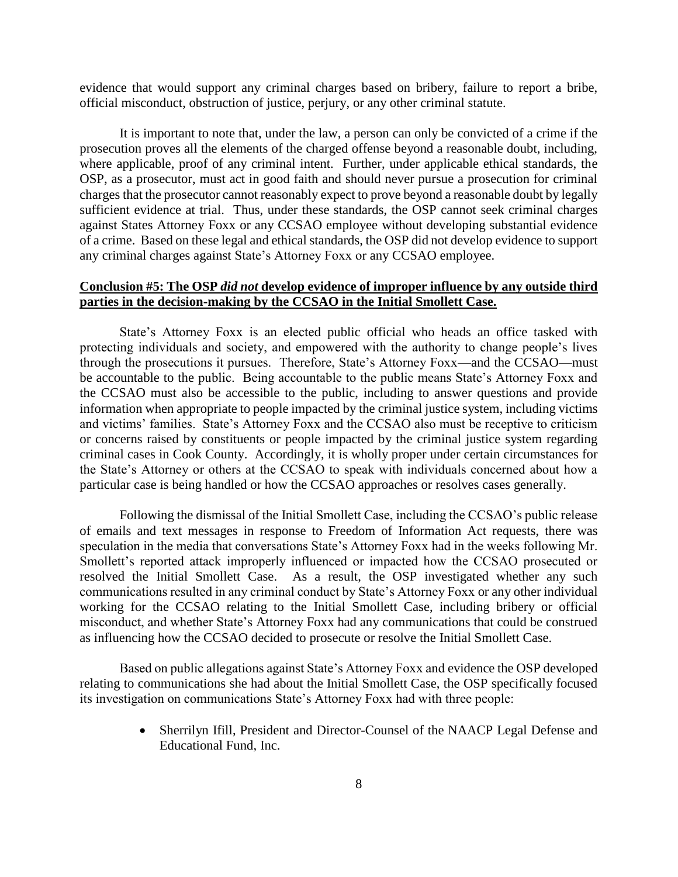evidence that would support any criminal charges based on bribery, failure to report a bribe, official misconduct, obstruction of justice, perjury, or any other criminal statute.

It is important to note that, under the law, a person can only be convicted of a crime if the prosecution proves all the elements of the charged offense beyond a reasonable doubt, including, where applicable, proof of any criminal intent. Further, under applicable ethical standards, the OSP, as a prosecutor, must act in good faith and should never pursue a prosecution for criminal charges that the prosecutor cannot reasonably expect to prove beyond a reasonable doubt by legally sufficient evidence at trial. Thus, under these standards, the OSP cannot seek criminal charges against States Attorney Foxx or any CCSAO employee without developing substantial evidence of a crime. Based on these legal and ethical standards, the OSP did not develop evidence to support any criminal charges against State's Attorney Foxx or any CCSAO employee.

## **Conclusion #5: The OSP** *did not* **develop evidence of improper influence by any outside third parties in the decision-making by the CCSAO in the Initial Smollett Case.**

State's Attorney Foxx is an elected public official who heads an office tasked with protecting individuals and society, and empowered with the authority to change people's lives through the prosecutions it pursues. Therefore, State's Attorney Foxx—and the CCSAO—must be accountable to the public. Being accountable to the public means State's Attorney Foxx and the CCSAO must also be accessible to the public, including to answer questions and provide information when appropriate to people impacted by the criminal justice system, including victims and victims' families. State's Attorney Foxx and the CCSAO also must be receptive to criticism or concerns raised by constituents or people impacted by the criminal justice system regarding criminal cases in Cook County. Accordingly, it is wholly proper under certain circumstances for the State's Attorney or others at the CCSAO to speak with individuals concerned about how a particular case is being handled or how the CCSAO approaches or resolves cases generally.

Following the dismissal of the Initial Smollett Case, including the CCSAO's public release of emails and text messages in response to Freedom of Information Act requests, there was speculation in the media that conversations State's Attorney Foxx had in the weeks following Mr. Smollett's reported attack improperly influenced or impacted how the CCSAO prosecuted or resolved the Initial Smollett Case. As a result, the OSP investigated whether any such communications resulted in any criminal conduct by State's Attorney Foxx or any other individual working for the CCSAO relating to the Initial Smollett Case, including bribery or official misconduct, and whether State's Attorney Foxx had any communications that could be construed as influencing how the CCSAO decided to prosecute or resolve the Initial Smollett Case.

Based on public allegations against State's Attorney Foxx and evidence the OSP developed relating to communications she had about the Initial Smollett Case, the OSP specifically focused its investigation on communications State's Attorney Foxx had with three people:

> Sherrilyn Ifill, President and Director-Counsel of the NAACP Legal Defense and Educational Fund, Inc.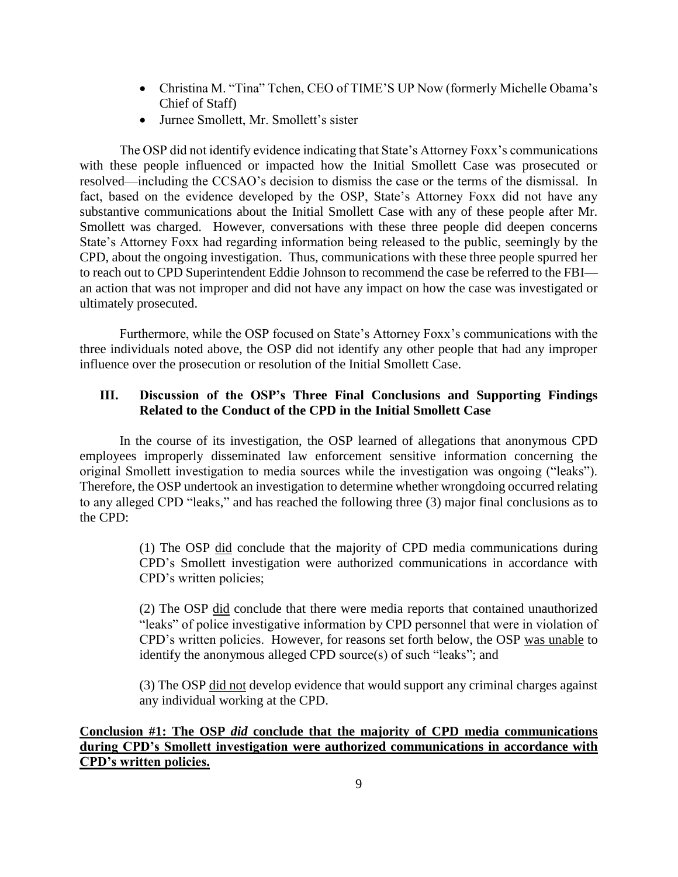- Christina M. "Tina" Tchen, CEO of TIME'S UP Now (formerly Michelle Obama's Chief of Staff)
- Jurnee Smollett, Mr. Smollett's sister

The OSP did not identify evidence indicating that State's Attorney Foxx's communications with these people influenced or impacted how the Initial Smollett Case was prosecuted or resolved—including the CCSAO's decision to dismiss the case or the terms of the dismissal. In fact, based on the evidence developed by the OSP, State's Attorney Foxx did not have any substantive communications about the Initial Smollett Case with any of these people after Mr. Smollett was charged. However, conversations with these three people did deepen concerns State's Attorney Foxx had regarding information being released to the public, seemingly by the CPD, about the ongoing investigation. Thus, communications with these three people spurred her to reach out to CPD Superintendent Eddie Johnson to recommend the case be referred to the FBI an action that was not improper and did not have any impact on how the case was investigated or ultimately prosecuted.

Furthermore, while the OSP focused on State's Attorney Foxx's communications with the three individuals noted above, the OSP did not identify any other people that had any improper influence over the prosecution or resolution of the Initial Smollett Case.

# **III. Discussion of the OSP's Three Final Conclusions and Supporting Findings Related to the Conduct of the CPD in the Initial Smollett Case**

In the course of its investigation, the OSP learned of allegations that anonymous CPD employees improperly disseminated law enforcement sensitive information concerning the original Smollett investigation to media sources while the investigation was ongoing ("leaks"). Therefore, the OSP undertook an investigation to determine whether wrongdoing occurred relating to any alleged CPD "leaks," and has reached the following three (3) major final conclusions as to the CPD:

> (1) The OSP did conclude that the majority of CPD media communications during CPD's Smollett investigation were authorized communications in accordance with CPD's written policies;

> (2) The OSP did conclude that there were media reports that contained unauthorized "leaks" of police investigative information by CPD personnel that were in violation of CPD's written policies. However, for reasons set forth below, the OSP was unable to identify the anonymous alleged CPD source(s) of such "leaks"; and

> (3) The OSP did not develop evidence that would support any criminal charges against any individual working at the CPD.

**Conclusion #1: The OSP** *did* **conclude that the majority of CPD media communications during CPD's Smollett investigation were authorized communications in accordance with CPD's written policies.**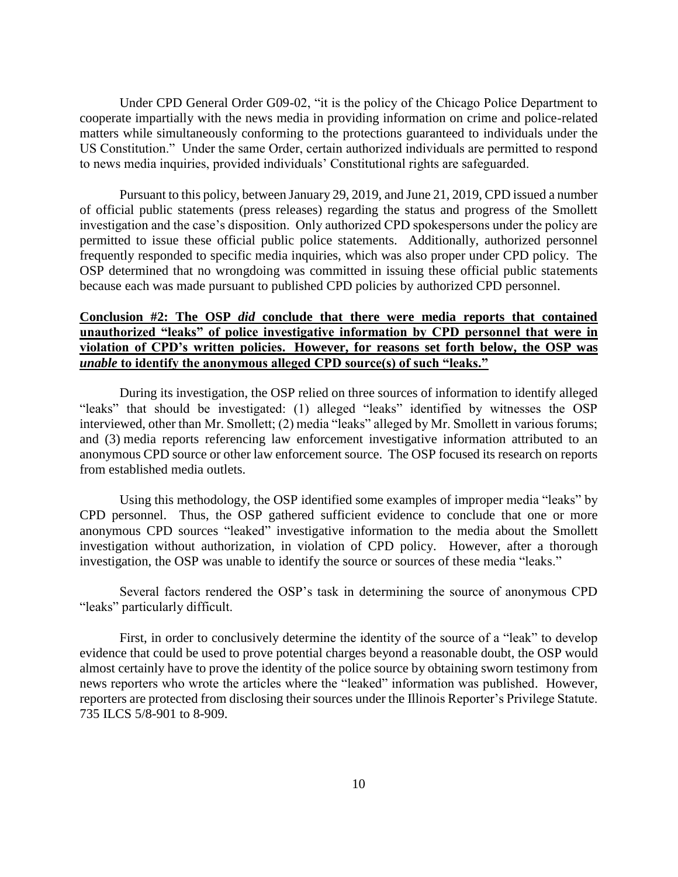Under CPD General Order G09-02, "it is the policy of the Chicago Police Department to cooperate impartially with the news media in providing information on crime and police-related matters while simultaneously conforming to the protections guaranteed to individuals under the US Constitution." Under the same Order, certain authorized individuals are permitted to respond to news media inquiries, provided individuals' Constitutional rights are safeguarded.

Pursuant to this policy, between January 29, 2019, and June 21, 2019, CPD issued a number of official public statements (press releases) regarding the status and progress of the Smollett investigation and the case's disposition. Only authorized CPD spokespersons under the policy are permitted to issue these official public police statements. Additionally, authorized personnel frequently responded to specific media inquiries, which was also proper under CPD policy. The OSP determined that no wrongdoing was committed in issuing these official public statements because each was made pursuant to published CPD policies by authorized CPD personnel.

## **Conclusion #2: The OSP** *did* **conclude that there were media reports that contained unauthorized "leaks" of police investigative information by CPD personnel that were in violation of CPD's written policies. However, for reasons set forth below, the OSP was**  *unable* **to identify the anonymous alleged CPD source(s) of such "leaks."**

During its investigation, the OSP relied on three sources of information to identify alleged "leaks" that should be investigated: (1) alleged "leaks" identified by witnesses the OSP interviewed, other than Mr. Smollett; (2) media "leaks" alleged by Mr. Smollett in various forums; and (3) media reports referencing law enforcement investigative information attributed to an anonymous CPD source or other law enforcement source. The OSP focused its research on reports from established media outlets.

Using this methodology, the OSP identified some examples of improper media "leaks" by CPD personnel. Thus, the OSP gathered sufficient evidence to conclude that one or more anonymous CPD sources "leaked" investigative information to the media about the Smollett investigation without authorization, in violation of CPD policy. However, after a thorough investigation, the OSP was unable to identify the source or sources of these media "leaks."

Several factors rendered the OSP's task in determining the source of anonymous CPD "leaks" particularly difficult.

First, in order to conclusively determine the identity of the source of a "leak" to develop evidence that could be used to prove potential charges beyond a reasonable doubt, the OSP would almost certainly have to prove the identity of the police source by obtaining sworn testimony from news reporters who wrote the articles where the "leaked" information was published. However, reporters are protected from disclosing their sources under the Illinois Reporter's Privilege Statute. 735 ILCS 5/8-901 to 8-909.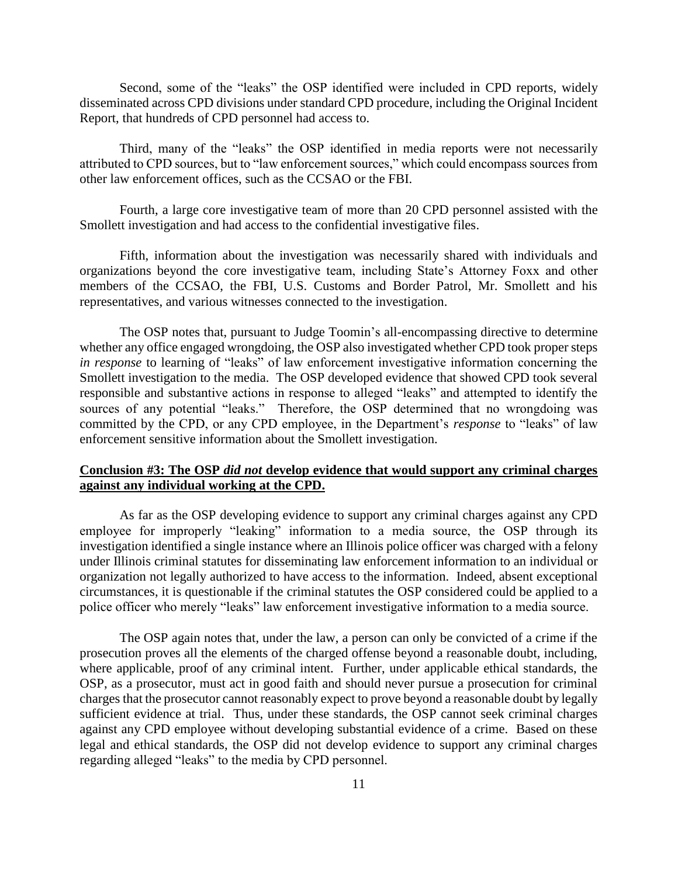Second, some of the "leaks" the OSP identified were included in CPD reports, widely disseminated across CPD divisions under standard CPD procedure, including the Original Incident Report, that hundreds of CPD personnel had access to.

Third, many of the "leaks" the OSP identified in media reports were not necessarily attributed to CPD sources, but to "law enforcement sources," which could encompass sources from other law enforcement offices, such as the CCSAO or the FBI.

Fourth, a large core investigative team of more than 20 CPD personnel assisted with the Smollett investigation and had access to the confidential investigative files.

Fifth, information about the investigation was necessarily shared with individuals and organizations beyond the core investigative team, including State's Attorney Foxx and other members of the CCSAO, the FBI, U.S. Customs and Border Patrol, Mr. Smollett and his representatives, and various witnesses connected to the investigation.

The OSP notes that, pursuant to Judge Toomin's all-encompassing directive to determine whether any office engaged wrongdoing, the OSP also investigated whether CPD took proper steps *in response* to learning of "leaks" of law enforcement investigative information concerning the Smollett investigation to the media. The OSP developed evidence that showed CPD took several responsible and substantive actions in response to alleged "leaks" and attempted to identify the sources of any potential "leaks." Therefore, the OSP determined that no wrongdoing was committed by the CPD, or any CPD employee, in the Department's *response* to "leaks" of law enforcement sensitive information about the Smollett investigation.

## **Conclusion #3: The OSP** *did not* **develop evidence that would support any criminal charges against any individual working at the CPD.**

As far as the OSP developing evidence to support any criminal charges against any CPD employee for improperly "leaking" information to a media source, the OSP through its investigation identified a single instance where an Illinois police officer was charged with a felony under Illinois criminal statutes for disseminating law enforcement information to an individual or organization not legally authorized to have access to the information. Indeed, absent exceptional circumstances, it is questionable if the criminal statutes the OSP considered could be applied to a police officer who merely "leaks" law enforcement investigative information to a media source.

The OSP again notes that, under the law, a person can only be convicted of a crime if the prosecution proves all the elements of the charged offense beyond a reasonable doubt, including, where applicable, proof of any criminal intent. Further, under applicable ethical standards, the OSP, as a prosecutor, must act in good faith and should never pursue a prosecution for criminal charges that the prosecutor cannot reasonably expect to prove beyond a reasonable doubt by legally sufficient evidence at trial. Thus, under these standards, the OSP cannot seek criminal charges against any CPD employee without developing substantial evidence of a crime. Based on these legal and ethical standards, the OSP did not develop evidence to support any criminal charges regarding alleged "leaks" to the media by CPD personnel.